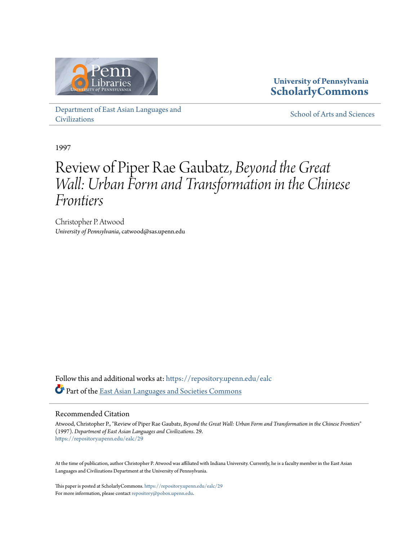

#### **University of Pennsylvania [ScholarlyCommons](https://repository.upenn.edu?utm_source=repository.upenn.edu%2Fealc%2F29&utm_medium=PDF&utm_campaign=PDFCoverPages)**

[Department of East Asian Languages and](https://repository.upenn.edu/ealc?utm_source=repository.upenn.edu%2Fealc%2F29&utm_medium=PDF&utm_campaign=PDFCoverPages) [Civilizations](https://repository.upenn.edu/ealc?utm_source=repository.upenn.edu%2Fealc%2F29&utm_medium=PDF&utm_campaign=PDFCoverPages)

[School of Arts and Sciences](https://repository.upenn.edu/sas?utm_source=repository.upenn.edu%2Fealc%2F29&utm_medium=PDF&utm_campaign=PDFCoverPages)

1997

### Review of Piper Rae Gaubatz, *Beyond the Great Wall: Urban Form and Transformation in the Chinese Frontiers*

Christopher P. Atwood *University of Pennsylvania*, catwood@sas.upenn.edu

Follow this and additional works at: [https://repository.upenn.edu/ealc](https://repository.upenn.edu/ealc?utm_source=repository.upenn.edu%2Fealc%2F29&utm_medium=PDF&utm_campaign=PDFCoverPages) Part of the [East Asian Languages and Societies Commons](http://network.bepress.com/hgg/discipline/481?utm_source=repository.upenn.edu%2Fealc%2F29&utm_medium=PDF&utm_campaign=PDFCoverPages)

#### Recommended Citation

Atwood, Christopher P., "Review of Piper Rae Gaubatz, *Beyond the Great Wall: Urban Form and Transformation in the Chinese Frontiers*" (1997). *Department of East Asian Languages and Civilizations*. 29. [https://repository.upenn.edu/ealc/29](https://repository.upenn.edu/ealc/29?utm_source=repository.upenn.edu%2Fealc%2F29&utm_medium=PDF&utm_campaign=PDFCoverPages)

At the time of publication, author Christopher P. Atwood was affiliated with Indiana University. Currently, he is a faculty member in the East Asian Languages and Civilizations Department at the University of Pennsylvania.

This paper is posted at ScholarlyCommons. <https://repository.upenn.edu/ealc/29> For more information, please contact [repository@pobox.upenn.edu.](mailto:repository@pobox.upenn.edu)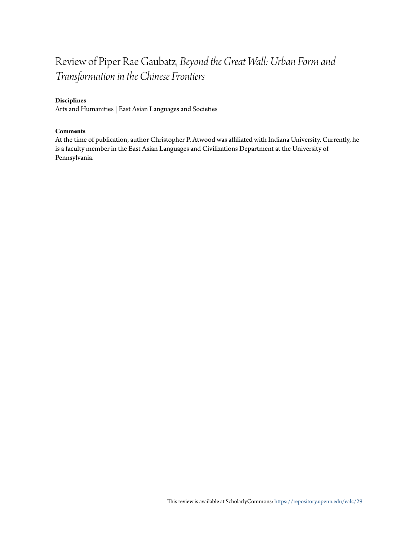### Review of Piper Rae Gaubatz, *Beyond the Great Wall: Urban Form and Transformation in the Chinese Frontiers*

#### **Disciplines**

Arts and Humanities | East Asian Languages and Societies

#### **Comments**

At the time of publication, author Christopher P. Atwood was affiliated with Indiana University. Currently, he is a faculty member in the East Asian Languages and Civilizations Department at the University of Pennsylvania.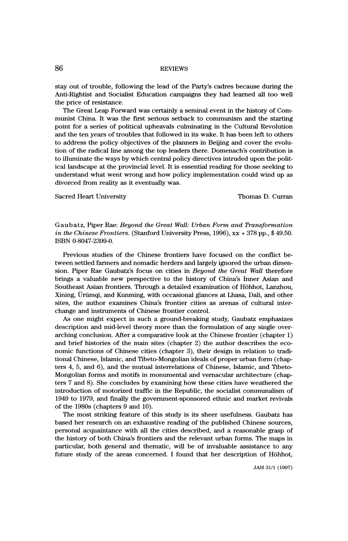# 86 REVIEWS

stay out of trouble, following the lead of the Party's cadres because during the<br>Anti-Bightist and Socialist Education campaigns they had learned all too well Anti-Rightist and Socialist Education campaigns they had learned all too well the price of resistance.

 The Great Leap Forward was certainly a seminal event in the history of Com munist China. It was the first serious setback to communism and the starting point for a series of political upheavals culminating in the Cultural Revolution and the ten years of troubles that followed in its wake. It has been left to others to address the policy objectives of the planners in Beijing and cover the evolu tion of the radical line among the top leaders there. Domenach's contribution is to illuminate the ways by which central policy directives intruded upon the polit ical landscape at the provincial level. It is essential reading for those seeking to understand what went wrong and how policy implementation could wind up as divorced from reality as it eventually was.

Sacred Heart University Thomas D. Curran

 Gaubatz, Piper Rae: Beyond the Great Wail: Urban Form and Transformation in the Chinese Frontiers. (Stanford University Press, 1996),  $xx + 378$  pp., \$49.50. ISBN 0-8047-2399-0.

 Previous studies of the Chinese frontiers have focused on the conflict be tween settled farmers and nomadic herders and largely ignored the urban dimen sion. Piper Rae Gaubatz's focus on cities in Beyond the Great Wall therefore brings a valuable new perspective to the history of China's Inner Asian and Southeast Asian frontiers. Through a detailed examination of Höhhot, Lanzhou, Xining, Ürümqi, and Kunming, with occasional glances at Lhasa, Dali, and other sites, the author examines China's frontier cities as arenas of cultural inter change and instruments of Chinese frontier control.

 As one might expect in such a ground-breaking study, Gaubatz emphasizes description and mid-level theory more than the formulation of any single over arching conclusion. After a comparative look at the Chinese frontier (chapter 1) and brief histories of the main sites (chapter 2) the author describes the eco nomic functions of Chinese cities (chapter 3), their design in relation to tradi tional Chinese, Islamic, and Tibeto-Mongolian ideals of proper urban form (chap ters 4, 5, and 6), and the mutual interrelations of Chinese, Islamic, and Tibeto- Mongolian forms and motifs in monumental and vernacular architecture (chap ters 7 and 8). She concludes by examining how these cities have weathered the introduction of motorized traffic in the Republic, the socialist communalism of 1949 to 1979, and finally the government-sponsored ethnic and market revivals of the 1980s (chapters 9 and 10).

 The most striking feature of this study is its sheer usefulness. Gaubatz has based her research on an exhaustive reading of the published Chinese sources, personal acquaintance with all the cities described, and a reasonable grasp of the history of both China's frontiers and the relevant urban forms. The maps in particular, both general and thematic, will be of invaluable assistance to any future study of the areas concerned. I found that her description of Höhhot,